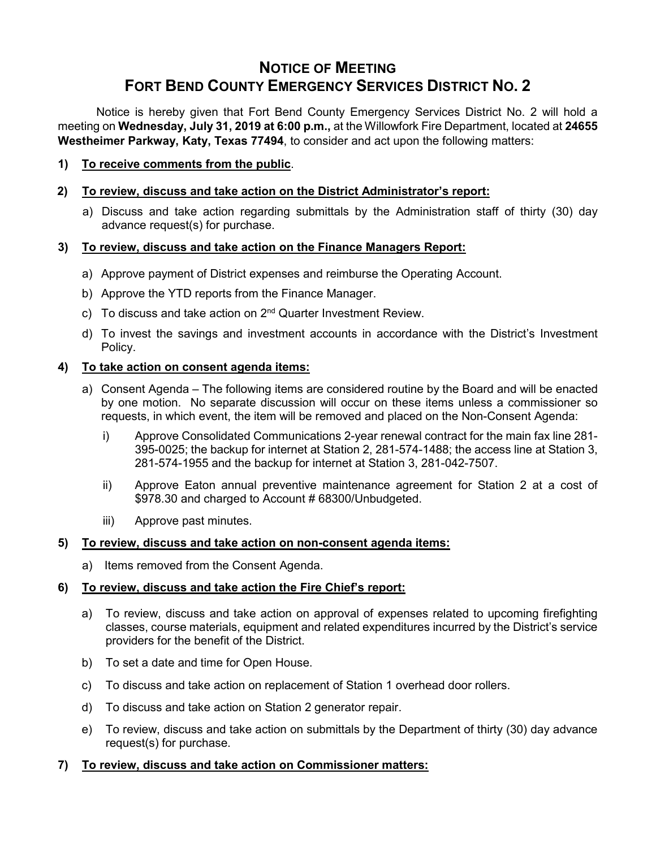# **NOTICE OF MEETING FORT BEND COUNTY EMERGENCY SERVICES DISTRICT NO. 2**

Notice is hereby given that Fort Bend County Emergency Services District No. 2 will hold a meeting on **Wednesday, July 31, 2019 at 6:00 p.m.,** at the Willowfork Fire Department, located at **24655 Westheimer Parkway, Katy, Texas 77494**, to consider and act upon the following matters:

**1) To receive comments from the public**.

#### **2) To review, discuss and take action on the District Administrator's report:**

a) Discuss and take action regarding submittals by the Administration staff of thirty (30) day advance request(s) for purchase.

#### **3) To review, discuss and take action on the Finance Managers Report:**

- a) Approve payment of District expenses and reimburse the Operating Account.
- b) Approve the YTD reports from the Finance Manager.
- c) To discuss and take action on  $2^{nd}$  Quarter Investment Review.
- d) To invest the savings and investment accounts in accordance with the District's Investment Policy.

#### **4) To take action on consent agenda items:**

- a) Consent Agenda The following items are considered routine by the Board and will be enacted by one motion. No separate discussion will occur on these items unless a commissioner so requests, in which event, the item will be removed and placed on the Non-Consent Agenda:
	- i) Approve Consolidated Communications 2-year renewal contract for the main fax line 281- 395-0025; the backup for internet at Station 2, 281-574-1488; the access line at Station 3, 281-574-1955 and the backup for internet at Station 3, 281-042-7507.
	- ii) Approve Eaton annual preventive maintenance agreement for Station 2 at a cost of \$978.30 and charged to Account # 68300/Unbudgeted.
	- iii) Approve past minutes.

## **5) To review, discuss and take action on non-consent agenda items:**

a) Items removed from the Consent Agenda.

## **6) To review, discuss and take action the Fire Chief's report:**

- a) To review, discuss and take action on approval of expenses related to upcoming firefighting classes, course materials, equipment and related expenditures incurred by the District's service providers for the benefit of the District.
- b) To set a date and time for Open House.
- c) To discuss and take action on replacement of Station 1 overhead door rollers.
- d) To discuss and take action on Station 2 generator repair.
- e) To review, discuss and take action on submittals by the Department of thirty (30) day advance request(s) for purchase.

## **7) To review, discuss and take action on Commissioner matters:**